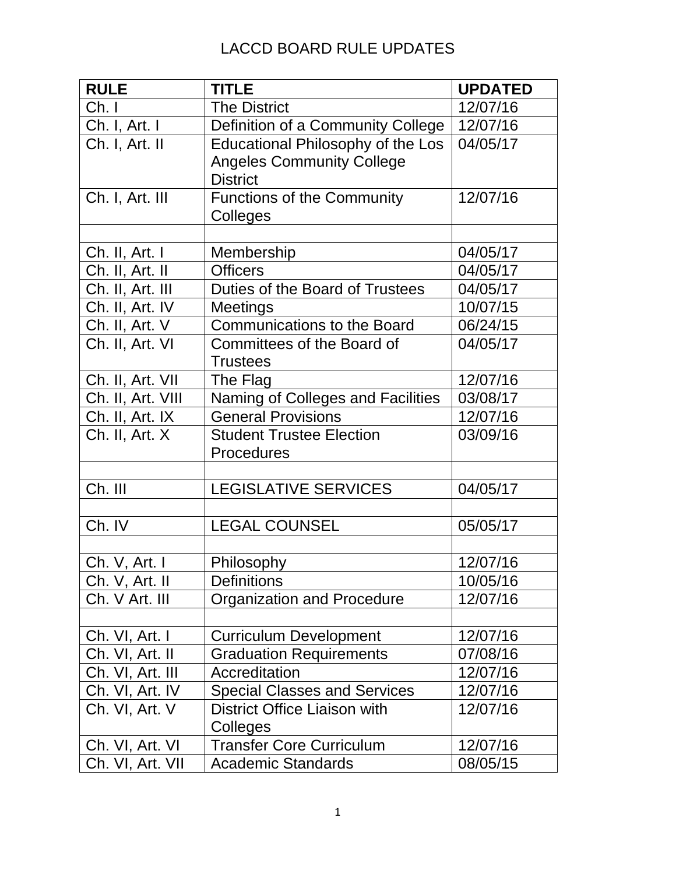| <b>RULE</b>       | <b>TITLE</b>                        | <b>UPDATED</b> |
|-------------------|-------------------------------------|----------------|
| Ch.1              | <b>The District</b>                 | 12/07/16       |
| Ch. I, Art. I     | Definition of a Community College   | 12/07/16       |
| Ch. I, Art. II    | Educational Philosophy of the Los   | 04/05/17       |
|                   | <b>Angeles Community College</b>    |                |
|                   | <b>District</b>                     |                |
| Ch. I, Art. III   | <b>Functions of the Community</b>   | 12/07/16       |
|                   | Colleges                            |                |
|                   |                                     |                |
| Ch. II, Art. I    | Membership                          | 04/05/17       |
| Ch. II, Art. II   | <b>Officers</b>                     | 04/05/17       |
| Ch. II, Art. III  | Duties of the Board of Trustees     | 04/05/17       |
| Ch. II, Art. IV   | <b>Meetings</b>                     | 10/07/15       |
| Ch. II, Art. V    | <b>Communications to the Board</b>  | 06/24/15       |
| Ch. II, Art. VI   | Committees of the Board of          | 04/05/17       |
|                   | <b>Trustees</b>                     |                |
| Ch. II, Art. VII  | The Flag                            | 12/07/16       |
| Ch. II, Art. VIII | Naming of Colleges and Facilities   | 03/08/17       |
| Ch. II, Art. IX   | <b>General Provisions</b>           | 12/07/16       |
| Ch. II, Art. X    | <b>Student Trustee Election</b>     | 03/09/16       |
|                   | <b>Procedures</b>                   |                |
|                   |                                     |                |
| Ch. III           | <b>LEGISLATIVE SERVICES</b>         | 04/05/17       |
|                   |                                     |                |
| Ch. IV            | <b>LEGAL COUNSEL</b>                | 05/05/17       |
|                   |                                     |                |
| Ch. V, Art. I     | Philosophy                          | 12/07/16       |
| Ch. V, Art. II    | <b>Definitions</b>                  | 10/05/16       |
| Ch. V Art. III    | Organization and Procedure          | 12/07/16       |
|                   |                                     |                |
| Ch. VI, Art. I    | <b>Curriculum Development</b>       | 12/07/16       |
| Ch. VI, Art. II   | <b>Graduation Requirements</b>      | 07/08/16       |
| Ch. VI, Art. III  | Accreditation                       | 12/07/16       |
| Ch. VI, Art. IV   | <b>Special Classes and Services</b> | 12/07/16       |
| Ch. VI, Art. V    | District Office Liaison with        | 12/07/16       |
|                   | Colleges                            |                |
| Ch. VI, Art. VI   | <b>Transfer Core Curriculum</b>     | 12/07/16       |
| Ch. VI, Art. VII  | <b>Academic Standards</b>           | 08/05/15       |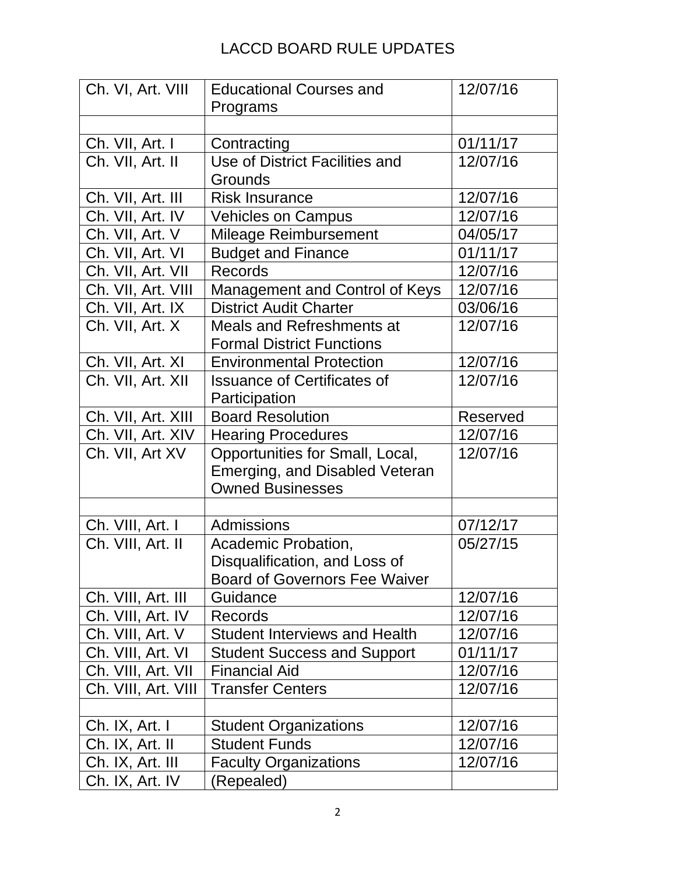| Ch. VI, Art. VIII   | <b>Educational Courses and</b>       | 12/07/16        |
|---------------------|--------------------------------------|-----------------|
|                     | Programs                             |                 |
|                     |                                      |                 |
| Ch. VII, Art. I     | Contracting                          | 01/11/17        |
| Ch. VII, Art. II    | Use of District Facilities and       | 12/07/16        |
|                     | Grounds                              |                 |
| Ch. VII, Art. III   | <b>Risk Insurance</b>                | 12/07/16        |
| Ch. VII, Art. IV    | <b>Vehicles on Campus</b>            | 12/07/16        |
| Ch. VII, Art. V     | Mileage Reimbursement                | 04/05/17        |
| Ch. VII, Art. VI    | <b>Budget and Finance</b>            | 01/11/17        |
| Ch. VII, Art. VII   | <b>Records</b>                       | 12/07/16        |
| Ch. VII, Art. VIII  | Management and Control of Keys       | 12/07/16        |
| Ch. VII, Art. IX    | <b>District Audit Charter</b>        | 03/06/16        |
| Ch. VII, Art. X     | Meals and Refreshments at            | 12/07/16        |
|                     | <b>Formal District Functions</b>     |                 |
| Ch. VII, Art. XI    | <b>Environmental Protection</b>      | 12/07/16        |
| Ch. VII, Art. XII   | <b>Issuance of Certificates of</b>   | 12/07/16        |
|                     | Participation                        |                 |
| Ch. VII, Art. XIII  | <b>Board Resolution</b>              | <b>Reserved</b> |
| Ch. VII, Art. XIV   | <b>Hearing Procedures</b>            | 12/07/16        |
| Ch. VII, Art XV     | Opportunities for Small, Local,      | 12/07/16        |
|                     | Emerging, and Disabled Veteran       |                 |
|                     | <b>Owned Businesses</b>              |                 |
|                     |                                      |                 |
| Ch. VIII, Art. I    | Admissions                           | 07/12/17        |
| Ch. VIII, Art. II   | Academic Probation,                  | 05/27/15        |
|                     | Disqualification, and Loss of        |                 |
|                     | <b>Board of Governors Fee Waiver</b> |                 |
| Ch. VIII, Art. III  | Guidance                             | 12/07/16        |
| Ch. VIII, Art. IV   | Records                              | 12/07/16        |
| Ch. VIII, Art. V    | <b>Student Interviews and Health</b> | 12/07/16        |
| Ch. VIII, Art. VI   | <b>Student Success and Support</b>   | 01/11/17        |
| Ch. VIII, Art. VII  | <b>Financial Aid</b>                 | 12/07/16        |
| Ch. VIII, Art. VIII | <b>Transfer Centers</b>              | 12/07/16        |
|                     |                                      |                 |
| Ch. IX, Art. I      | <b>Student Organizations</b>         | 12/07/16        |
| Ch. IX, Art. II     | <b>Student Funds</b>                 | 12/07/16        |
| Ch. IX, Art. III    | <b>Faculty Organizations</b>         | 12/07/16        |
| Ch. IX, Art. IV     | (Repealed)                           |                 |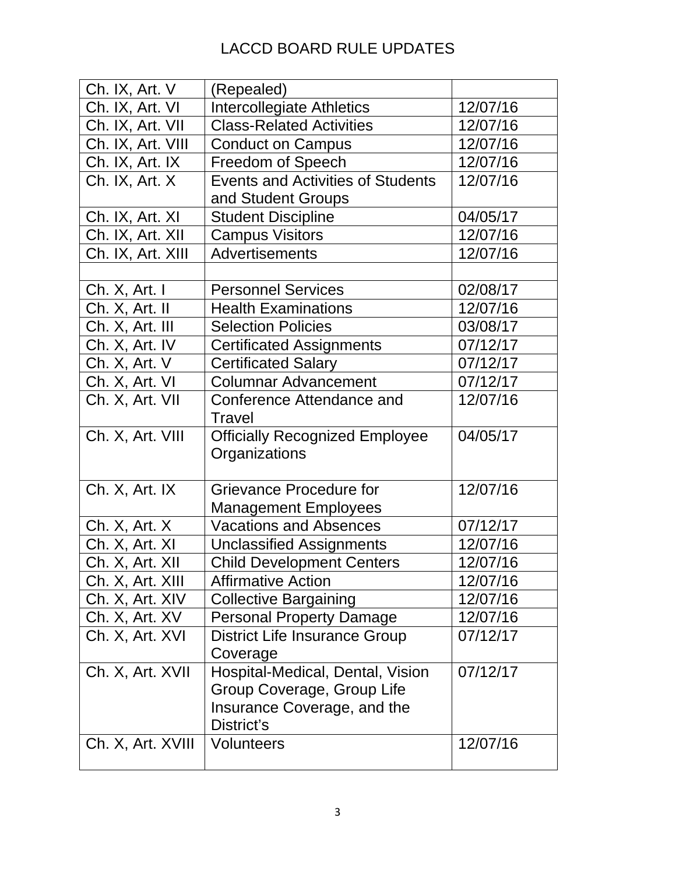| Ch. IX, Art. V    | (Repealed)                               |          |
|-------------------|------------------------------------------|----------|
| Ch. IX, Art. VI   | Intercollegiate Athletics                | 12/07/16 |
| Ch. IX, Art. VII  | <b>Class-Related Activities</b>          | 12/07/16 |
| Ch. IX, Art. VIII | <b>Conduct on Campus</b>                 | 12/07/16 |
| Ch. IX, Art. IX   | <b>Freedom of Speech</b>                 | 12/07/16 |
| Ch. IX, Art. X    | <b>Events and Activities of Students</b> | 12/07/16 |
|                   | and Student Groups                       |          |
| Ch. IX, Art. XI   | <b>Student Discipline</b>                | 04/05/17 |
| Ch. IX, Art. XII  | <b>Campus Visitors</b>                   | 12/07/16 |
| Ch. IX, Art. XIII | Advertisements                           | 12/07/16 |
|                   |                                          |          |
| Ch. X, Art. I     | <b>Personnel Services</b>                | 02/08/17 |
| Ch. X, Art. II    | <b>Health Examinations</b>               | 12/07/16 |
| Ch. X, Art. III   | <b>Selection Policies</b>                | 03/08/17 |
| Ch. X, Art. IV    | <b>Certificated Assignments</b>          | 07/12/17 |
| Ch. X, Art. V     | <b>Certificated Salary</b>               | 07/12/17 |
| Ch. X, Art. VI    | <b>Columnar Advancement</b>              | 07/12/17 |
| Ch. X, Art. VII   | Conference Attendance and                | 12/07/16 |
|                   | Travel                                   |          |
| Ch. X, Art. VIII  | <b>Officially Recognized Employee</b>    | 04/05/17 |
|                   | Organizations                            |          |
|                   |                                          |          |
| Ch. X, Art. IX    | Grievance Procedure for                  | 12/07/16 |
|                   | <b>Management Employees</b>              |          |
| Ch. X, Art. X     | <b>Vacations and Absences</b>            | 07/12/17 |
| Ch. X, Art. XI    | <b>Unclassified Assignments</b>          | 12/07/16 |
| Ch. X, Art. XII   | <b>Child Development Centers</b>         | 12/07/16 |
| Ch. X, Art. XIII  | <b>Affirmative Action</b>                | 12/07/16 |
| Ch. X, Art. XIV   | <b>Collective Bargaining</b>             | 12/07/16 |
| Ch. X, Art. XV    | <b>Personal Property Damage</b>          | 12/07/16 |
| Ch. X, Art. XVI   | <b>District Life Insurance Group</b>     | 07/12/17 |
|                   | Coverage                                 |          |
| Ch. X, Art. XVII  | Hospital-Medical, Dental, Vision         | 07/12/17 |
|                   | Group Coverage, Group Life               |          |
|                   | Insurance Coverage, and the              |          |
|                   | District's                               |          |
| Ch. X, Art. XVIII | <b>Volunteers</b>                        | 12/07/16 |
|                   |                                          |          |